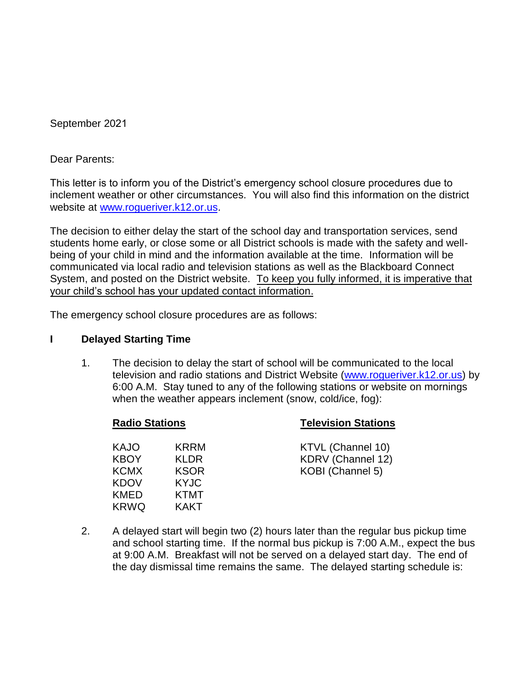September 2021

Dear Parents:

This letter is to inform you of the District's emergency school closure procedures due to inclement weather or other circumstances. You will also find this information on the district website at [www.rogueriver.k12.or.us.](http://www.rogueriver.k12.or.us/)

The decision to either delay the start of the school day and transportation services, send students home early, or close some or all District schools is made with the safety and wellbeing of your child in mind and the information available at the time. Information will be communicated via local radio and television stations as well as the Blackboard Connect System, and posted on the District website. To keep you fully informed, it is imperative that your child's school has your updated contact information.

The emergency school closure procedures are as follows:

#### **I Delayed Starting Time**

1. The decision to delay the start of school will be communicated to the local television and radio stations and District Website [\(www.rogueriver.k12.or.us\)](http://www.rogueriver.k12.or.us/) by 6:00 A.M. Stay tuned to any of the following stations or website on mornings when the weather appears inclement (snow, cold/ice, fog):

### **Radio Stations Television Stations**

| <b>KAJO</b> | KRRM        | KTVL (Channel 10) |
|-------------|-------------|-------------------|
| <b>KBOY</b> | KI DR.      | KDRV (Channel 12) |
| <b>KCMX</b> | <b>KSOR</b> | KOBI (Channel 5)  |
| <b>KDOV</b> | <b>KYJC</b> |                   |
| KMED        | <b>KTMT</b> |                   |
| <b>KRWQ</b> | <b>KAKT</b> |                   |

2. A delayed start will begin two (2) hours later than the regular bus pickup time and school starting time. If the normal bus pickup is 7:00 A.M., expect the bus at 9:00 A.M. Breakfast will not be served on a delayed start day. The end of the day dismissal time remains the same. The delayed starting schedule is: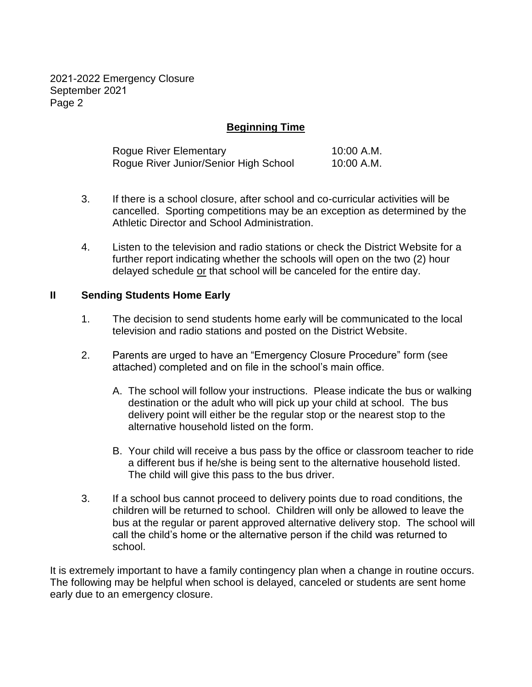2021-2022 Emergency Closure September 2021 Page 2

# **Beginning Time**

| Rogue River Elementary                | 10:00 A.M. |
|---------------------------------------|------------|
| Rogue River Junior/Senior High School | 10:00 A.M. |

- 3. If there is a school closure, after school and co-curricular activities will be cancelled. Sporting competitions may be an exception as determined by the Athletic Director and School Administration.
- 4. Listen to the television and radio stations or check the District Website for a further report indicating whether the schools will open on the two (2) hour delayed schedule or that school will be canceled for the entire day.

#### **II Sending Students Home Early**

- 1. The decision to send students home early will be communicated to the local television and radio stations and posted on the District Website.
- 2. Parents are urged to have an "Emergency Closure Procedure" form (see attached) completed and on file in the school's main office.
	- A. The school will follow your instructions. Please indicate the bus or walking destination or the adult who will pick up your child at school. The bus delivery point will either be the regular stop or the nearest stop to the alternative household listed on the form.
	- B. Your child will receive a bus pass by the office or classroom teacher to ride a different bus if he/she is being sent to the alternative household listed. The child will give this pass to the bus driver.
- 3. If a school bus cannot proceed to delivery points due to road conditions, the children will be returned to school. Children will only be allowed to leave the bus at the regular or parent approved alternative delivery stop. The school will call the child's home or the alternative person if the child was returned to school.

It is extremely important to have a family contingency plan when a change in routine occurs. The following may be helpful when school is delayed, canceled or students are sent home early due to an emergency closure.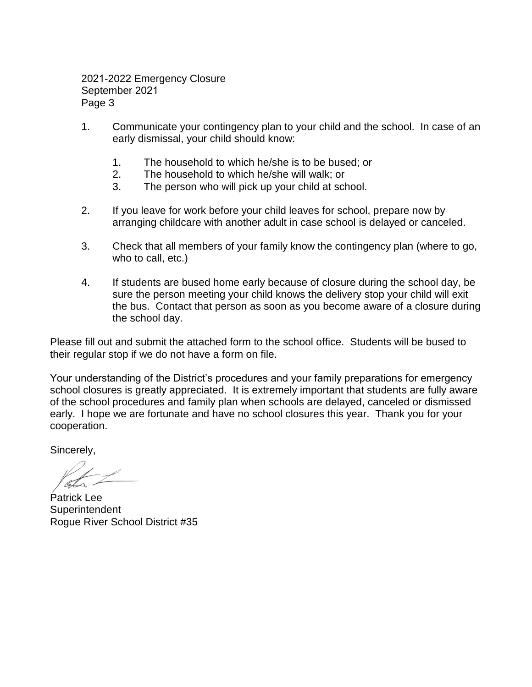2021-2022 Emergency Closure September 2021 Page 3

- 1. Communicate your contingency plan to your child and the school. In case of an early dismissal, your child should know:
	- 1. The household to which he/she is to be bused; or
	- 2. The household to which he/she will walk; or
	- 3. The person who will pick up your child at school.
- 2. If you leave for work before your child leaves for school, prepare now by arranging childcare with another adult in case school is delayed or canceled.
- 3. Check that all members of your family know the contingency plan (where to go, who to call, etc.)
- 4. If students are bused home early because of closure during the school day, be sure the person meeting your child knows the delivery stop your child will exit the bus. Contact that person as soon as you become aware of a closure during the school day.

Please fill out and submit the attached form to the school office. Students will be bused to their regular stop if we do not have a form on file.

Your understanding of the District's procedures and your family preparations for emergency school closures is greatly appreciated. It is extremely important that students are fully aware of the school procedures and family plan when schools are delayed, canceled or dismissed early. I hope we are fortunate and have no school closures this year. Thank you for your cooperation.

Sincerely,

Patrick Lee **Superintendent** Rogue River School District #35